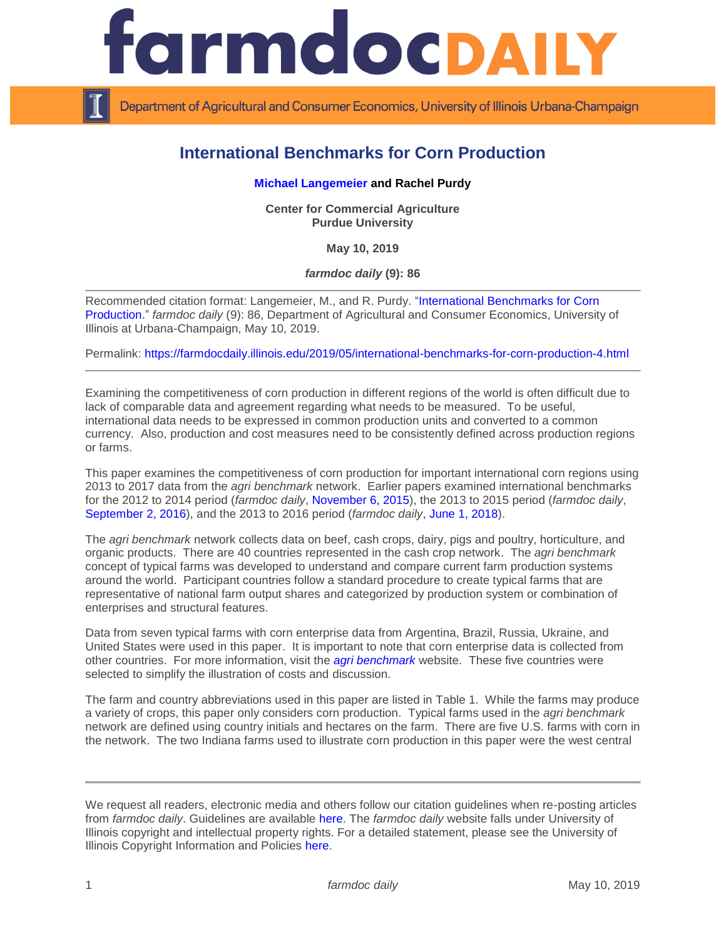

Department of Agricultural and Consumer Economics, University of Illinois Urbana-Champaign

# **International Benchmarks for Corn Production**

# **[Michael Langemeier](https://ag.purdue.edu/commercialag/Pages/Faculty-Staff/Langemeier.aspx) and Rachel Purdy**

**Center for Commercial Agriculture Purdue University**

**May 10, 2019**

*farmdoc daily* **(9): 86**

Recommended citation format: Langemeier, M., and R. Purdy. ["International Benchmarks for Corn](https://farmdocdaily.illinois.edu/2019/05/international-benchmarks-for-corn-production-4.html)  [Production.](https://farmdocdaily.illinois.edu/2019/05/international-benchmarks-for-corn-production-4.html)" *farmdoc daily* (9): 86, Department of Agricultural and Consumer Economics, University of Illinois at Urbana-Champaign, May 10, 2019.

Permalink:<https://farmdocdaily.illinois.edu/2019/05/international-benchmarks-for-corn-production-4.html>

Examining the competitiveness of corn production in different regions of the world is often difficult due to lack of comparable data and agreement regarding what needs to be measured. To be useful, international data needs to be expressed in common production units and converted to a common currency. Also, production and cost measures need to be consistently defined across production regions or farms.

This paper examines the competitiveness of corn production for important international corn regions using 2013 to 2017 data from the *agri benchmark* network. Earlier papers examined international benchmarks for the 2012 to 2014 period (*farmdoc daily*, [November 6, 2015\)](https://farmdocdaily.illinois.edu/2015/11/international-benchmarks-for-corn-production.html), the 2013 to 2015 period (*farmdoc daily*, [September 2, 2016\)](http://farmdocdaily.illinois.edu/2016/09/international-benchmarks-for-corn-production.html), and the 2013 to 2016 period (*farmdoc daily*, [June 1, 2018\)](https://farmdocdaily.illinois.edu/2018/06/international-benchmarks-for-corn-production-3.html).

The *agri benchmark* network collects data on beef, cash crops, dairy, pigs and poultry, horticulture, and organic products. There are 40 countries represented in the cash crop network. The *agri benchmark* concept of typical farms was developed to understand and compare current farm production systems around the world. Participant countries follow a standard procedure to create typical farms that are representative of national farm output shares and categorized by production system or combination of enterprises and structural features.

Data from seven typical farms with corn enterprise data from Argentina, Brazil, Russia, Ukraine, and United States were used in this paper. It is important to note that corn enterprise data is collected from other countries. For more information, visit the *[agri benchmark](http://www.agribenchmark.org/home.html)* website. These five countries were selected to simplify the illustration of costs and discussion.

The farm and country abbreviations used in this paper are listed in Table 1. While the farms may produce a variety of crops, this paper only considers corn production. Typical farms used in the *agri benchmark* network are defined using country initials and hectares on the farm. There are five U.S. farms with corn in the network. The two Indiana farms used to illustrate corn production in this paper were the west central

We request all readers, electronic media and others follow our citation guidelines when re-posting articles from *farmdoc daily*. Guidelines are available [here.](http://farmdocdaily.illinois.edu/citationguide.html) The *farmdoc daily* website falls under University of Illinois copyright and intellectual property rights. For a detailed statement, please see the University of Illinois Copyright Information and Policies [here.](http://www.cio.illinois.edu/policies/copyright/)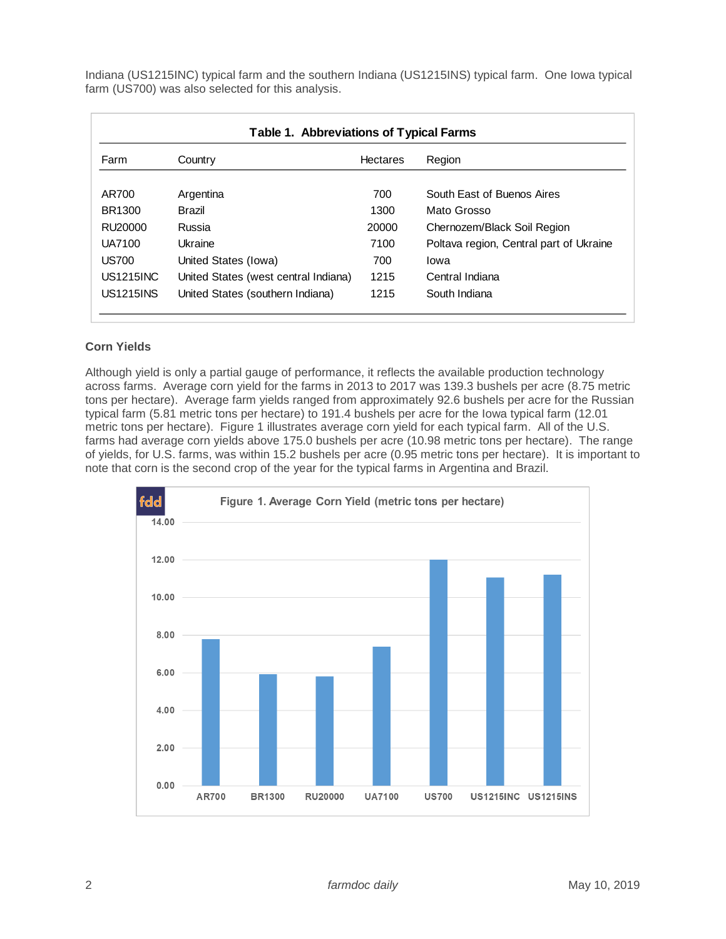Indiana (US1215INC) typical farm and the southern Indiana (US1215INS) typical farm. One Iowa typical farm (US700) was also selected for this analysis.

| Table 1. Abbreviations of Typical Farms |                                      |                 |                                         |
|-----------------------------------------|--------------------------------------|-----------------|-----------------------------------------|
| Farm                                    | Country                              | <b>Hectares</b> | Region                                  |
|                                         |                                      |                 |                                         |
| AR700                                   | Argentina                            | 700             | South East of Buenos Aires              |
| BR1300                                  | <b>Brazil</b>                        | 1300            | Mato Grosso                             |
| RU20000                                 | Russia                               | 20000           | Chernozem/Black Soil Region             |
| UA7100                                  | Ukraine                              | 7100            | Poltava region, Central part of Ukraine |
| <b>US700</b>                            | United States (Iowa)                 | 700             | lowa                                    |
| <b>US1215INC</b>                        | United States (west central Indiana) | 1215            | Central Indiana                         |
| <b>US1215INS</b>                        | United States (southern Indiana)     | 1215            | South Indiana                           |

# **Corn Yields**

Although yield is only a partial gauge of performance, it reflects the available production technology across farms. Average corn yield for the farms in 2013 to 2017 was 139.3 bushels per acre (8.75 metric tons per hectare). Average farm yields ranged from approximately 92.6 bushels per acre for the Russian typical farm (5.81 metric tons per hectare) to 191.4 bushels per acre for the Iowa typical farm (12.01 metric tons per hectare). Figure 1 illustrates average corn yield for each typical farm. All of the U.S. farms had average corn yields above 175.0 bushels per acre (10.98 metric tons per hectare). The range of yields, for U.S. farms, was within 15.2 bushels per acre (0.95 metric tons per hectare). It is important to note that corn is the second crop of the year for the typical farms in Argentina and Brazil.

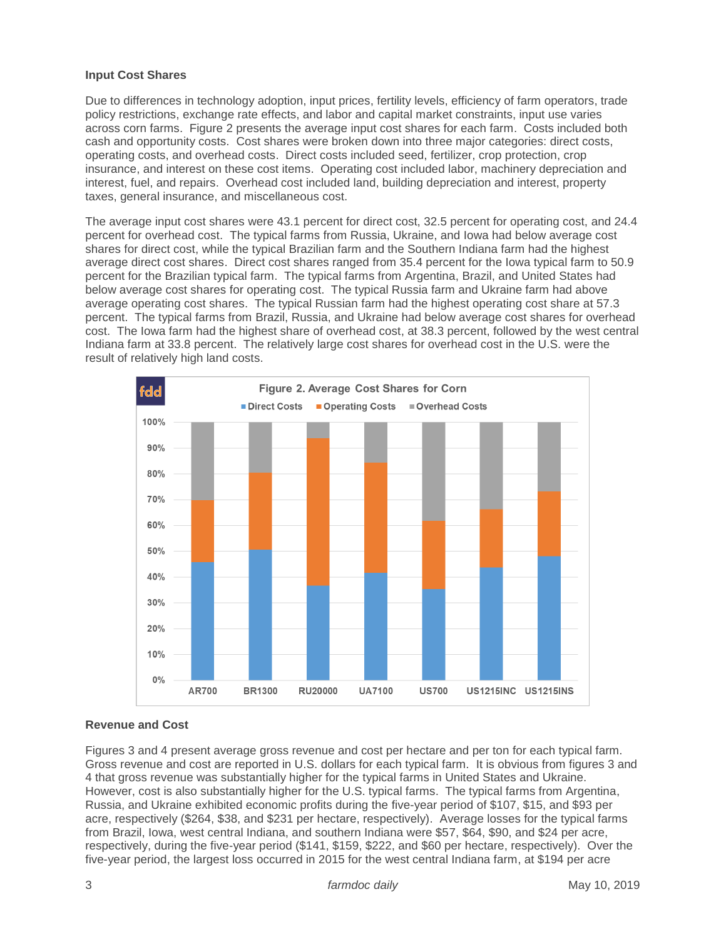### **Input Cost Shares**

Due to differences in technology adoption, input prices, fertility levels, efficiency of farm operators, trade policy restrictions, exchange rate effects, and labor and capital market constraints, input use varies across corn farms. Figure 2 presents the average input cost shares for each farm. Costs included both cash and opportunity costs. Cost shares were broken down into three major categories: direct costs, operating costs, and overhead costs. Direct costs included seed, fertilizer, crop protection, crop insurance, and interest on these cost items. Operating cost included labor, machinery depreciation and interest, fuel, and repairs. Overhead cost included land, building depreciation and interest, property taxes, general insurance, and miscellaneous cost.

The average input cost shares were 43.1 percent for direct cost, 32.5 percent for operating cost, and 24.4 percent for overhead cost. The typical farms from Russia, Ukraine, and Iowa had below average cost shares for direct cost, while the typical Brazilian farm and the Southern Indiana farm had the highest average direct cost shares. Direct cost shares ranged from 35.4 percent for the Iowa typical farm to 50.9 percent for the Brazilian typical farm. The typical farms from Argentina, Brazil, and United States had below average cost shares for operating cost. The typical Russia farm and Ukraine farm had above average operating cost shares. The typical Russian farm had the highest operating cost share at 57.3 percent. The typical farms from Brazil, Russia, and Ukraine had below average cost shares for overhead cost. The Iowa farm had the highest share of overhead cost, at 38.3 percent, followed by the west central Indiana farm at 33.8 percent. The relatively large cost shares for overhead cost in the U.S. were the result of relatively high land costs.



# **Revenue and Cost**

Figures 3 and 4 present average gross revenue and cost per hectare and per ton for each typical farm. Gross revenue and cost are reported in U.S. dollars for each typical farm. It is obvious from figures 3 and 4 that gross revenue was substantially higher for the typical farms in United States and Ukraine. However, cost is also substantially higher for the U.S. typical farms. The typical farms from Argentina, Russia, and Ukraine exhibited economic profits during the five-year period of \$107, \$15, and \$93 per acre, respectively (\$264, \$38, and \$231 per hectare, respectively). Average losses for the typical farms from Brazil, Iowa, west central Indiana, and southern Indiana were \$57, \$64, \$90, and \$24 per acre, respectively, during the five-year period (\$141, \$159, \$222, and \$60 per hectare, respectively). Over the five-year period, the largest loss occurred in 2015 for the west central Indiana farm, at \$194 per acre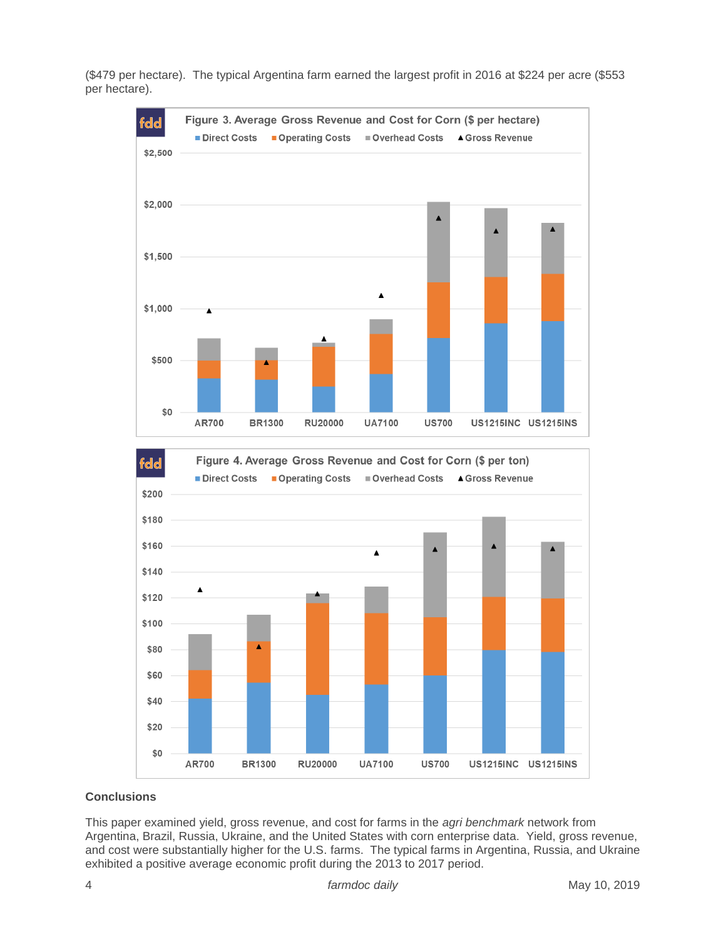

(\$479 per hectare). The typical Argentina farm earned the largest profit in 2016 at \$224 per acre (\$553 per hectare).

#### Direct Costs Operating Costs Overhead Costs ▲ Gross Revenue \$200 \$180 \$160 Z  $\blacktriangle$ \$140  $\blacktriangle$ \$120 \$100 Δ \$80 \$60 \$40 \$20 \$0 AR700 **BR1300 RU20000 UA7100 US700 US1215INC US1215INS**

# **Conclusions**

This paper examined yield, gross revenue, and cost for farms in the *agri benchmark* network from Argentina, Brazil, Russia, Ukraine, and the United States with corn enterprise data. Yield, gross revenue, and cost were substantially higher for the U.S. farms. The typical farms in Argentina, Russia, and Ukraine exhibited a positive average economic profit during the 2013 to 2017 period.